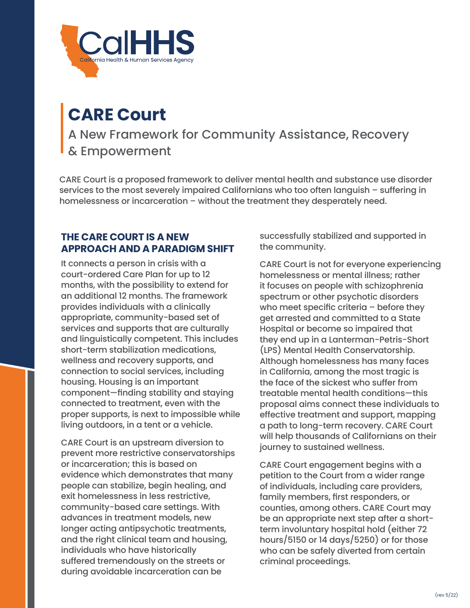

# **CARE Court**

A New Framework for Community Assistance, Recovery & Empowerment

CARE Court is a proposed framework to deliver mental health and substance use disorder services to the most severely impaired Californians who too often languish – suffering in homelessness or incarceration – without the treatment they desperately need.

### **THE CARE COURT IS A NEW APPROACH AND A PARADIGM SHIFT**

It connects a person in crisis with a court-ordered Care Plan for up to 12 months, with the possibility to extend for an additional 12 months. The framework provides individuals with a clinically appropriate, community-based set of services and supports that are culturally and linguistically competent. This includes short-term stabilization medications, wellness and recovery supports, and connection to social services, including housing. Housing is an important component—finding stability and staying connected to treatment, even with the proper supports, is next to impossible while living outdoors, in a tent or a vehicle.

CARE Court is an upstream diversion to prevent more restrictive conservatorships or incarceration; this is based on evidence which demonstrates that many people can stabilize, begin healing, and exit homelessness in less restrictive, community-based care settings. With advances in treatment models, new longer acting antipsychotic treatments, and the right clinical team and housing, individuals who have historically suffered tremendously on the streets or during avoidable incarceration can be

successfully stabilized and supported in the community.

CARE Court is not for everyone experiencing homelessness or mental illness; rather it focuses on people with schizophrenia spectrum or other psychotic disorders who meet specific criteria – before they get arrested and committed to a State Hospital or become so impaired that they end up in a Lanterman-Petris-Short (LPS) Mental Health Conservatorship. Although homelessness has many faces in California, among the most tragic is the face of the sickest who suffer from treatable mental health conditions—this proposal aims connect these individuals to effective treatment and support, mapping a path to long-term recovery. CARE Court will help thousands of Californians on their journey to sustained wellness.

CARE Court engagement begins with a petition to the Court from a wider range of individuals, including care providers, family members, first responders, or counties, among others. CARE Court may be an appropriate next step after a shortterm involuntary hospital hold (either 72 hours/5150 or 14 days/5250) or for those who can be safely diverted from certain criminal proceedings.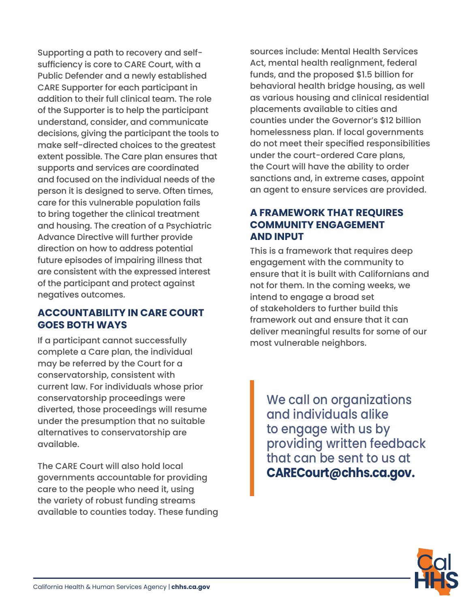Supporting a path to recovery and selfsufficiency is core to CARE Court, with a Public Defender and a newly established CARE Supporter for each participant in addition to their full clinical team. The role of the Supporter is to help the participant understand, consider, and communicate decisions, giving the participant the tools to make self-directed choices to the greatest extent possible. The Care plan ensures that supports and services are coordinated and focused on the individual needs of the person it is designed to serve. Often times, care for this vulnerable population fails to bring together the clinical treatment and housing. The creation of a Psychiatric Advance Directive will further provide direction on how to address potential future episodes of impairing illness that are consistent with the expressed interest of the participant and protect against negatives outcomes.

# **ACCOUNTABILITY IN CARE COURT GOES BOTH WAYS**

If a participant cannot successfully complete a Care plan, the individual may be referred by the Court for a conservatorship, consistent with current law. For individuals whose prior conservatorship proceedings were diverted, those proceedings will resume under the presumption that no suitable alternatives to conservatorship are available.

The CARE Court will also hold local governments accountable for providing care to the people who need it, using the variety of robust funding streams available to counties today. These funding sources include: Mental Health Services Act, mental health realignment, federal funds, and the proposed \$1.5 billion for behavioral health bridge housing, as well as various housing and clinical residential placements available to cities and counties under the Governor's \$12 billion homelessness plan. If local governments do not meet their specified responsibilities under the court-ordered Care plans, the Court will have the ability to order sanctions and, in extreme cases, appoint an agent to ensure services are provided.

# **A FRAMEWORK THAT REQUIRES COMMUNITY ENGAGEMENT AND INPUT**

This is a framework that requires deep engagement with the community to ensure that it is built with Californians and not for them. In the coming weeks, we intend to engage a broad set of stakeholders to further build this framework out and ensure that it can deliver meaningful results for some of our most vulnerable neighbors.

We call on organizations and individuals alike to engage with us by providing written feedback that can be sent to us at **[CARECourt@chhs.ca.gov](mailto:CARECourt%40chhs.ca.gov?subject=).**